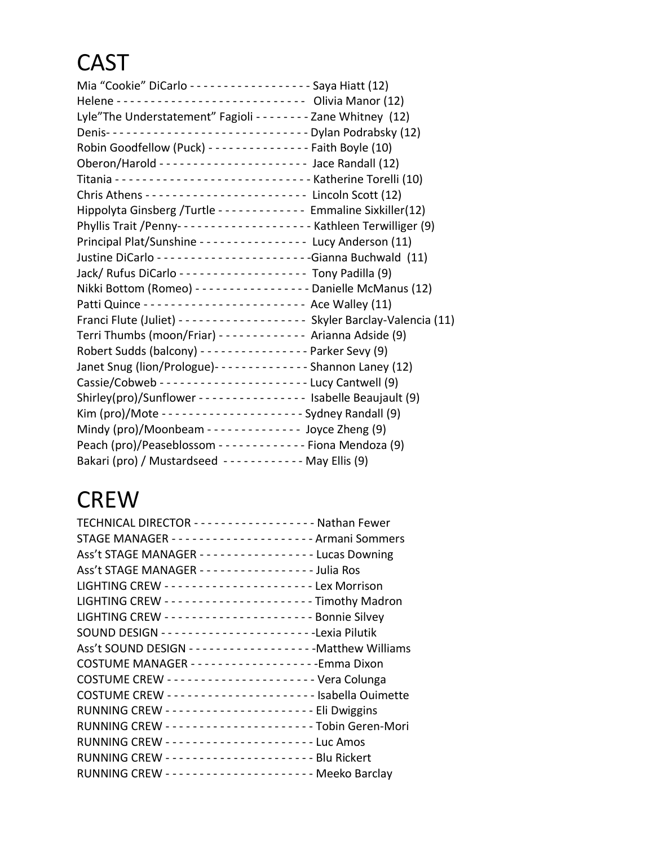## CAST

| Mia "Cookie" DiCarlo - - - - - - - - - - - - - - - - - Saya Hiatt (12)                 |
|----------------------------------------------------------------------------------------|
| Lyle"The Understatement" Fagioli - - - - - - - - Zane Whitney (12)                     |
| Denis----------------------------- Dylan Podrabsky (12)                                |
| Robin Goodfellow (Puck) - - - - - - - - - - - - - - Faith Boyle (10)                   |
|                                                                                        |
|                                                                                        |
| Chris Athens ----------------------- Lincoln Scott (12)                                |
|                                                                                        |
| Hippolyta Ginsberg /Turtle - - - - - - - - - - - - Emmaline Sixkiller(12)              |
|                                                                                        |
| Principal Plat/Sunshine - - - - - - - - - - - - - - Lucy Anderson (11)                 |
|                                                                                        |
| Jack/ Rufus DiCarlo ------------------ Tony Padilla (9)                                |
| Nikki Bottom (Romeo) - - - - - - - - - - - - - - - - Danielle McManus (12)             |
|                                                                                        |
| Franci Flute (Juliet) - - - - - - - - - - - - - - - - - - Skyler Barclay-Valencia (11) |
| Terri Thumbs (moon/Friar) - - - - - - - - - - - - Arianna Adside (9)                   |
| Robert Sudds (balcony) - - - - - - - - - - - - - - - Parker Sevy (9)                   |
| Janet Snug (lion/Prologue) - - - - - - - - - - - - - Shannon Laney (12)                |
|                                                                                        |
| Shirley(pro)/Sunflower - - - - - - - - - - - - - - - - Isabelle Beaujault (9)          |
| Kim (pro)/Mote --------------------- Sydney Randall (9)                                |
| Mindy (pro)/Moonbeam - - - - - - - - - - - - - Joyce Zheng (9)                         |
| Peach (pro)/Peaseblossom - - - - - - - - - - - - Fiona Mendoza (9)                     |
| Bakari (pro) / Mustardseed ----------- May Ellis (9)                                   |
|                                                                                        |

## **CREW**

| TECHNICAL DIRECTOR - - - - - - - - - - - - - - - - - - Nathan Fewer |
|---------------------------------------------------------------------|
|                                                                     |
| Ass't STAGE MANAGER ----------------Lucas Downing                   |
| Ass't STAGE MANAGER - - - - - - - - - - - - - - - - Julia Ros       |
|                                                                     |
|                                                                     |
|                                                                     |
| SOUND DESIGN -----------------------Lexia Pilutik                   |
|                                                                     |
|                                                                     |
|                                                                     |
|                                                                     |
| RUNNING CREW --------------------- Eli Dwiggins                     |
|                                                                     |
| RUNNING CREW ---------------------Luc Amos                          |
|                                                                     |
| RUNNING CREW --------------------- Meeko Barclay                    |
|                                                                     |